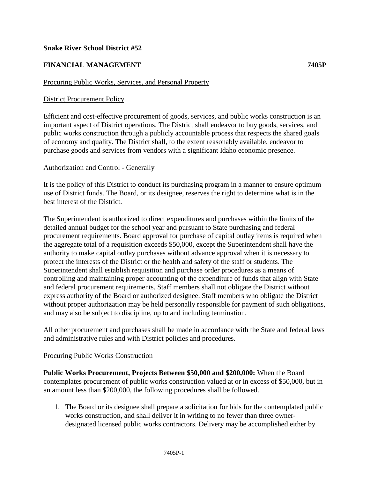### **Snake River School District #52**

# **FINANCIAL MANAGEMENT 7405P**

### Procuring Public Works, Services, and Personal Property

### District Procurement Policy

Efficient and cost-effective procurement of goods, services, and public works construction is an important aspect of District operations. The District shall endeavor to buy goods, services, and public works construction through a publicly accountable process that respects the shared goals of economy and quality. The District shall, to the extent reasonably available, endeavor to purchase goods and services from vendors with a significant Idaho economic presence.

#### Authorization and Control - Generally

It is the policy of this District to conduct its purchasing program in a manner to ensure optimum use of District funds. The Board, or its designee, reserves the right to determine what is in the best interest of the District.

The Superintendent is authorized to direct expenditures and purchases within the limits of the detailed annual budget for the school year and pursuant to State purchasing and federal procurement requirements. Board approval for purchase of capital outlay items is required when the aggregate total of a requisition exceeds \$50,000, except the Superintendent shall have the authority to make capital outlay purchases without advance approval when it is necessary to protect the interests of the District or the health and safety of the staff or students. The Superintendent shall establish requisition and purchase order procedures as a means of controlling and maintaining proper accounting of the expenditure of funds that align with State and federal procurement requirements. Staff members shall not obligate the District without express authority of the Board or authorized designee. Staff members who obligate the District without proper authorization may be held personally responsible for payment of such obligations, and may also be subject to discipline, up to and including termination.

All other procurement and purchases shall be made in accordance with the State and federal laws and administrative rules and with District policies and procedures.

#### Procuring Public Works Construction

**Public Works Procurement, Projects Between \$50,000 and \$200,000:** When the Board contemplates procurement of public works construction valued at or in excess of \$50,000, but in an amount less than \$200,000, the following procedures shall be followed.

1. The Board or its designee shall prepare a solicitation for bids for the contemplated public works construction, and shall deliver it in writing to no fewer than three ownerdesignated licensed public works contractors. Delivery may be accomplished either by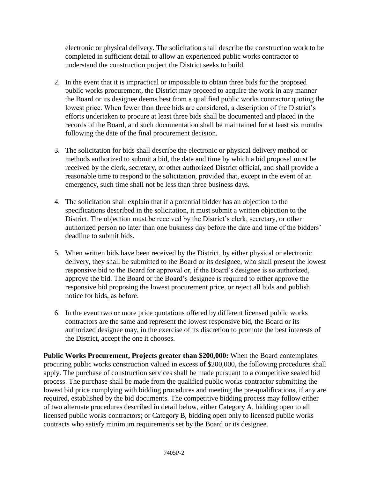electronic or physical delivery. The solicitation shall describe the construction work to be completed in sufficient detail to allow an experienced public works contractor to understand the construction project the District seeks to build.

- 2. In the event that it is impractical or impossible to obtain three bids for the proposed public works procurement, the District may proceed to acquire the work in any manner the Board or its designee deems best from a qualified public works contractor quoting the lowest price. When fewer than three bids are considered, a description of the District's efforts undertaken to procure at least three bids shall be documented and placed in the records of the Board, and such documentation shall be maintained for at least six months following the date of the final procurement decision.
- 3. The solicitation for bids shall describe the electronic or physical delivery method or methods authorized to submit a bid, the date and time by which a bid proposal must be received by the clerk, secretary, or other authorized District official, and shall provide a reasonable time to respond to the solicitation, provided that, except in the event of an emergency, such time shall not be less than three business days.
- 4. The solicitation shall explain that if a potential bidder has an objection to the specifications described in the solicitation, it must submit a written objection to the District. The objection must be received by the District's clerk, secretary, or other authorized person no later than one business day before the date and time of the bidders' deadline to submit bids.
- 5. When written bids have been received by the District, by either physical or electronic delivery, they shall be submitted to the Board or its designee, who shall present the lowest responsive bid to the Board for approval or, if the Board's designee is so authorized, approve the bid. The Board or the Board's designee is required to either approve the responsive bid proposing the lowest procurement price, or reject all bids and publish notice for bids, as before.
- 6. In the event two or more price quotations offered by different licensed public works contractors are the same and represent the lowest responsive bid, the Board or its authorized designee may, in the exercise of its discretion to promote the best interests of the District, accept the one it chooses.

**Public Works Procurement, Projects greater than \$200,000:** When the Board contemplates procuring public works construction valued in excess of \$200,000, the following procedures shall apply. The purchase of construction services shall be made pursuant to a competitive sealed bid process. The purchase shall be made from the qualified public works contractor submitting the lowest bid price complying with bidding procedures and meeting the pre-qualifications, if any are required, established by the bid documents. The competitive bidding process may follow either of two alternate procedures described in detail below, either Category A, bidding open to all licensed public works contractors; or Category B, bidding open only to licensed public works contracts who satisfy minimum requirements set by the Board or its designee.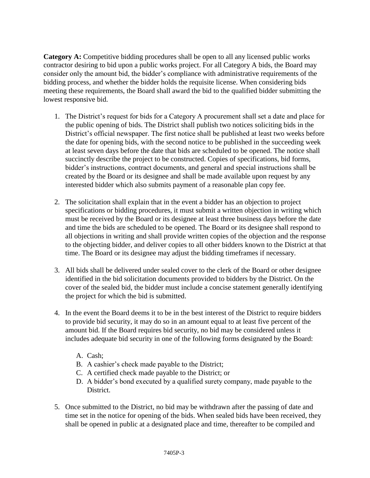**Category A:** Competitive bidding procedures shall be open to all any licensed public works contractor desiring to bid upon a public works project. For all Category A bids, the Board may consider only the amount bid, the bidder's compliance with administrative requirements of the bidding process, and whether the bidder holds the requisite license. When considering bids meeting these requirements, the Board shall award the bid to the qualified bidder submitting the lowest responsive bid.

- 1. The District's request for bids for a Category A procurement shall set a date and place for the public opening of bids. The District shall publish two notices soliciting bids in the District's official newspaper. The first notice shall be published at least two weeks before the date for opening bids, with the second notice to be published in the succeeding week at least seven days before the date that bids are scheduled to be opened. The notice shall succinctly describe the project to be constructed. Copies of specifications, bid forms, bidder's instructions, contract documents, and general and special instructions shall be created by the Board or its designee and shall be made available upon request by any interested bidder which also submits payment of a reasonable plan copy fee.
- 2. The solicitation shall explain that in the event a bidder has an objection to project specifications or bidding procedures, it must submit a written objection in writing which must be received by the Board or its designee at least three business days before the date and time the bids are scheduled to be opened. The Board or its designee shall respond to all objections in writing and shall provide written copies of the objection and the response to the objecting bidder, and deliver copies to all other bidders known to the District at that time. The Board or its designee may adjust the bidding timeframes if necessary.
- 3. All bids shall be delivered under sealed cover to the clerk of the Board or other designee identified in the bid solicitation documents provided to bidders by the District. On the cover of the sealed bid, the bidder must include a concise statement generally identifying the project for which the bid is submitted.
- 4. In the event the Board deems it to be in the best interest of the District to require bidders to provide bid security, it may do so in an amount equal to at least five percent of the amount bid. If the Board requires bid security, no bid may be considered unless it includes adequate bid security in one of the following forms designated by the Board:
	- A. Cash;
	- B. A cashier's check made payable to the District;
	- C. A certified check made payable to the District; or
	- D. A bidder's bond executed by a qualified surety company, made payable to the District.
- 5. Once submitted to the District, no bid may be withdrawn after the passing of date and time set in the notice for opening of the bids. When sealed bids have been received, they shall be opened in public at a designated place and time, thereafter to be compiled and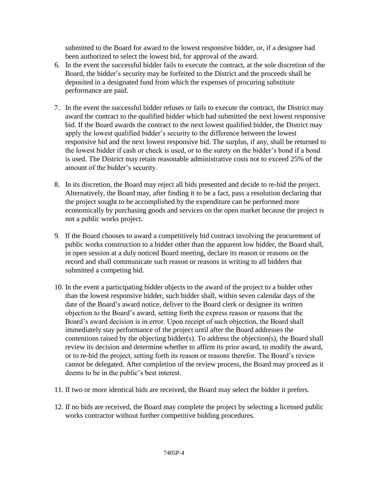submitted to the Board for award to the lowest responsive bidder, or, if a designee had been authorized to select the lowest bid, for approval of the award.

- 6. In the event the successful bidder fails to execute the contract, at the sole discretion of the Board, the bidder's security may be forfeited to the District and the proceeds shall be deposited in a designated fund from which the expenses of procuring substitute performance are paid.
- 7. In the event the successful bidder refuses or fails to execute the contract, the District may award the contract to the qualified bidder which had submitted the next lowest responsive bid. If the Board awards the contract to the next lowest qualified bidder, the District may apply the lowest qualified bidder's security to the difference between the lowest responsive bid and the next lowest responsive bid. The surplus, if any, shall be returned to the lowest bidder if cash or check is used, or to the surety on the bidder's bond if a bond is used. The District may retain reasonable administrative costs not to exceed 25% of the amount of the bidder's security.
- 8. In its discretion, the Board may reject all bids presented and decide to re-bid the project. Alternatively, the Board may, after finding it to be a fact, pass a resolution declaring that the project sought to be accomplished by the expenditure can be performed more economically by purchasing goods and services on the open market because the project is not a public works project.
- 9. If the Board chooses to award a competitively bid contract involving the procurement of public works construction to a bidder other than the apparent low bidder, the Board shall, in open session at a duly noticed Board meeting, declare its reason or reasons on the record and shall communicate such reason or reasons in writing to all bidders that submitted a competing bid.
- 10. In the event a participating bidder objects to the award of the project to a bidder other than the lowest responsive bidder, such bidder shall, within seven calendar days of the date of the Board's award notice, deliver to the Board clerk or designee its written objection to the Board's award, setting forth the express reason or reasons that the Board's award decision is in error. Upon receipt of such objection, the Board shall immediately stay performance of the project until after the Board addresses the contentions raised by the objecting bidder(s). To address the objection(s), the Board shall review its decision and determine whether to affirm its prior award, to modify the award, or to re-bid the project, setting forth its reason or reasons therefor. The Board's review cannot be delegated. After completion of the review process, the Board may proceed as it deems to be in the public's best interest.
- 11. If two or more identical bids are received, the Board may select the bidder it prefers.
- 12. If no bids are received, the Board may complete the project by selecting a licensed public works contractor without further competitive bidding procedures.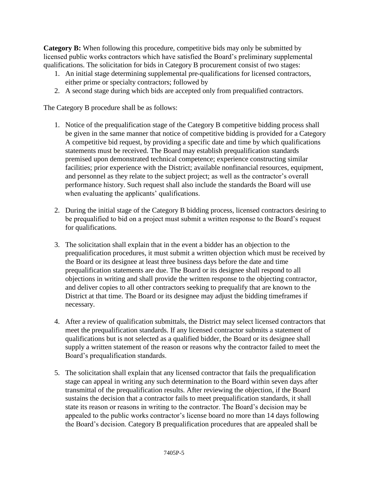**Category B:** When following this procedure, competitive bids may only be submitted by licensed public works contractors which have satisfied the Board's preliminary supplemental qualifications. The solicitation for bids in Category B procurement consist of two stages:

- 1. An initial stage determining supplemental pre-qualifications for licensed contractors, either prime or specialty contractors; followed by
- 2. A second stage during which bids are accepted only from prequalified contractors.

The Category B procedure shall be as follows:

- 1. Notice of the prequalification stage of the Category B competitive bidding process shall be given in the same manner that notice of competitive bidding is provided for a Category A competitive bid request, by providing a specific date and time by which qualifications statements must be received. The Board may establish prequalification standards premised upon demonstrated technical competence; experience constructing similar facilities; prior experience with the District; available nonfinancial resources, equipment, and personnel as they relate to the subject project; as well as the contractor's overall performance history. Such request shall also include the standards the Board will use when evaluating the applicants' qualifications.
- 2. During the initial stage of the Category B bidding process, licensed contractors desiring to be prequalified to bid on a project must submit a written response to the Board's request for qualifications.
- 3. The solicitation shall explain that in the event a bidder has an objection to the prequalification procedures, it must submit a written objection which must be received by the Board or its designee at least three business days before the date and time prequalification statements are due. The Board or its designee shall respond to all objections in writing and shall provide the written response to the objecting contractor, and deliver copies to all other contractors seeking to prequalify that are known to the District at that time. The Board or its designee may adjust the bidding timeframes if necessary.
- 4. After a review of qualification submittals, the District may select licensed contractors that meet the prequalification standards. If any licensed contractor submits a statement of qualifications but is not selected as a qualified bidder, the Board or its designee shall supply a written statement of the reason or reasons why the contractor failed to meet the Board's prequalification standards.
- 5. The solicitation shall explain that any licensed contractor that fails the prequalification stage can appeal in writing any such determination to the Board within seven days after transmittal of the prequalification results. After reviewing the objection, if the Board sustains the decision that a contractor fails to meet prequalification standards, it shall state its reason or reasons in writing to the contractor. The Board's decision may be appealed to the public works contractor's license board no more than 14 days following the Board's decision. Category B prequalification procedures that are appealed shall be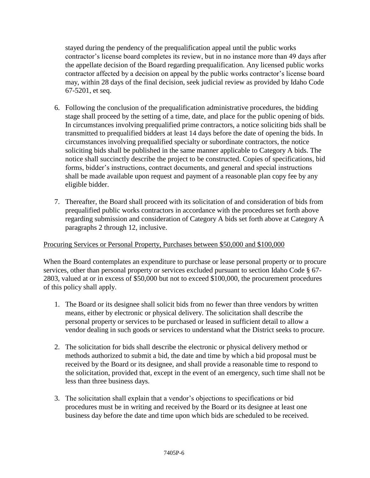stayed during the pendency of the prequalification appeal until the public works contractor's license board completes its review, but in no instance more than 49 days after the appellate decision of the Board regarding prequalification. Any licensed public works contractor affected by a decision on appeal by the public works contractor's license board may, within 28 days of the final decision, seek judicial review as provided by Idaho Code 67-5201, et seq.

- 6. Following the conclusion of the prequalification administrative procedures, the bidding stage shall proceed by the setting of a time, date, and place for the public opening of bids. In circumstances involving prequalified prime contractors, a notice soliciting bids shall be transmitted to prequalified bidders at least 14 days before the date of opening the bids. In circumstances involving prequalified specialty or subordinate contractors, the notice soliciting bids shall be published in the same manner applicable to Category A bids. The notice shall succinctly describe the project to be constructed. Copies of specifications, bid forms, bidder's instructions, contract documents, and general and special instructions shall be made available upon request and payment of a reasonable plan copy fee by any eligible bidder.
- 7. Thereafter, the Board shall proceed with its solicitation of and consideration of bids from prequalified public works contractors in accordance with the procedures set forth above regarding submission and consideration of Category A bids set forth above at Category A paragraphs 2 through 12, inclusive.

## Procuring Services or Personal Property, Purchases between \$50,000 and \$100,000

When the Board contemplates an expenditure to purchase or lease personal property or to procure services, other than personal property or services excluded pursuant to section Idaho Code § 67- 2803, valued at or in excess of \$50,000 but not to exceed \$100,000, the procurement procedures of this policy shall apply.

- 1. The Board or its designee shall solicit bids from no fewer than three vendors by written means, either by electronic or physical delivery. The solicitation shall describe the personal property or services to be purchased or leased in sufficient detail to allow a vendor dealing in such goods or services to understand what the District seeks to procure.
- 2. The solicitation for bids shall describe the electronic or physical delivery method or methods authorized to submit a bid, the date and time by which a bid proposal must be received by the Board or its designee, and shall provide a reasonable time to respond to the solicitation, provided that, except in the event of an emergency, such time shall not be less than three business days.
- 3. The solicitation shall explain that a vendor's objections to specifications or bid procedures must be in writing and received by the Board or its designee at least one business day before the date and time upon which bids are scheduled to be received.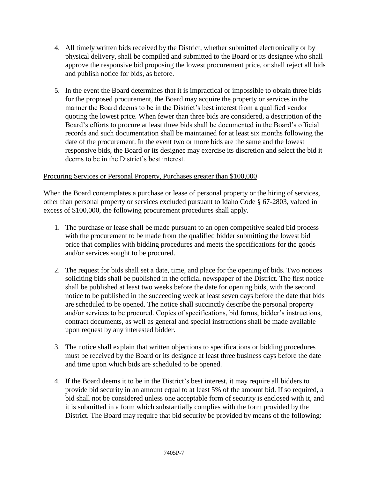- 4. All timely written bids received by the District, whether submitted electronically or by physical delivery, shall be compiled and submitted to the Board or its designee who shall approve the responsive bid proposing the lowest procurement price, or shall reject all bids and publish notice for bids, as before.
- 5. In the event the Board determines that it is impractical or impossible to obtain three bids for the proposed procurement, the Board may acquire the property or services in the manner the Board deems to be in the District's best interest from a qualified vendor quoting the lowest price. When fewer than three bids are considered, a description of the Board's efforts to procure at least three bids shall be documented in the Board's official records and such documentation shall be maintained for at least six months following the date of the procurement. In the event two or more bids are the same and the lowest responsive bids, the Board or its designee may exercise its discretion and select the bid it deems to be in the District's best interest.

## Procuring Services or Personal Property, Purchases greater than \$100,000

When the Board contemplates a purchase or lease of personal property or the hiring of services, other than personal property or services excluded pursuant to Idaho Code § 67-2803, valued in excess of \$100,000, the following procurement procedures shall apply.

- 1. The purchase or lease shall be made pursuant to an open competitive sealed bid process with the procurement to be made from the qualified bidder submitting the lowest bid price that complies with bidding procedures and meets the specifications for the goods and/or services sought to be procured.
- 2. The request for bids shall set a date, time, and place for the opening of bids. Two notices soliciting bids shall be published in the official newspaper of the District. The first notice shall be published at least two weeks before the date for opening bids, with the second notice to be published in the succeeding week at least seven days before the date that bids are scheduled to be opened. The notice shall succinctly describe the personal property and/or services to be procured. Copies of specifications, bid forms, bidder's instructions, contract documents, as well as general and special instructions shall be made available upon request by any interested bidder.
- 3. The notice shall explain that written objections to specifications or bidding procedures must be received by the Board or its designee at least three business days before the date and time upon which bids are scheduled to be opened.
- 4. If the Board deems it to be in the District's best interest, it may require all bidders to provide bid security in an amount equal to at least 5% of the amount bid. If so required, a bid shall not be considered unless one acceptable form of security is enclosed with it, and it is submitted in a form which substantially complies with the form provided by the District. The Board may require that bid security be provided by means of the following: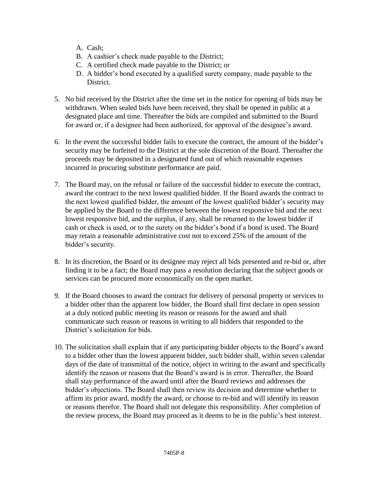- A. Cash;
- B. A cashier's check made payable to the District;
- C. A certified check made payable to the District; or
- D. A bidder's bond executed by a qualified surety company, made payable to the District.
- 5. No bid received by the District after the time set in the notice for opening of bids may be withdrawn. When sealed bids have been received, they shall be opened in public at a designated place and time. Thereafter the bids are compiled and submitted to the Board for award or, if a designee had been authorized, for approval of the designee's award.
- 6. In the event the successful bidder fails to execute the contract, the amount of the bidder's security may be forfeited to the District at the sole discretion of the Board. Thereafter the proceeds may be deposited in a designated fund out of which reasonable expenses incurred in procuring substitute performance are paid.
- 7. The Board may, on the refusal or failure of the successful bidder to execute the contract, award the contract to the next lowest qualified bidder. If the Board awards the contract to the next lowest qualified bidder, the amount of the lowest qualified bidder's security may be applied by the Board to the difference between the lowest responsive bid and the next lowest responsive bid, and the surplus, if any, shall be returned to the lowest bidder if cash or check is used, or to the surety on the bidder's bond if a bond is used. The Board may retain a reasonable administrative cost not to exceed 25% of the amount of the bidder's security.
- 8. In its discretion, the Board or its designee may reject all bids presented and re-bid or, after finding it to be a fact; the Board may pass a resolution declaring that the subject goods or services can be procured more economically on the open market.
- 9. If the Board chooses to award the contract for delivery of personal property or services to a bidder other than the apparent low bidder, the Board shall first declare in open session at a duly noticed public meeting its reason or reasons for the award and shall communicate such reason or reasons in writing to all bidders that responded to the District's solicitation for bids.
- 10. The solicitation shall explain that if any participating bidder objects to the Board's award to a bidder other than the lowest apparent bidder, such bidder shall, within seven calendar days of the date of transmittal of the notice, object in writing to the award and specifically identify the reason or reasons that the Board's award is in error. Thereafter, the Board shall stay performance of the award until after the Board reviews and addresses the bidder's objections. The Board shall then review its decision and determine whether to affirm its prior award, modify the award, or choose to re-bid and will identify its reason or reasons therefor. The Board shall not delegate this responsibility. After completion of the review process, the Board may proceed as it deems to be in the public's best interest.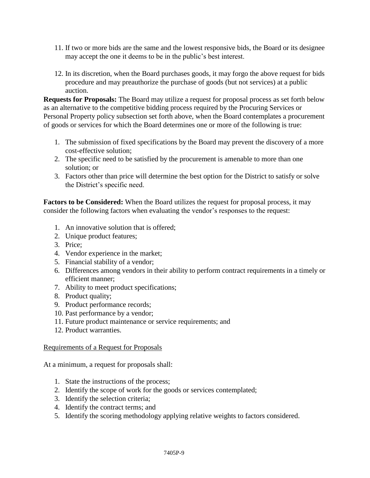- 11. If two or more bids are the same and the lowest responsive bids, the Board or its designee may accept the one it deems to be in the public's best interest.
- 12. In its discretion, when the Board purchases goods, it may forgo the above request for bids procedure and may preauthorize the purchase of goods (but not services) at a public auction.

**Requests for Proposals:** The Board may utilize a request for proposal process as set forth below as an alternative to the competitive bidding process required by the Procuring Services or Personal Property policy subsection set forth above, when the Board contemplates a procurement of goods or services for which the Board determines one or more of the following is true:

- 1. The submission of fixed specifications by the Board may prevent the discovery of a more cost-effective solution;
- 2. The specific need to be satisfied by the procurement is amenable to more than one solution; or
- 3. Factors other than price will determine the best option for the District to satisfy or solve the District's specific need.

**Factors to be Considered:** When the Board utilizes the request for proposal process, it may consider the following factors when evaluating the vendor's responses to the request:

- 1. An innovative solution that is offered;
- 2. Unique product features;
- 3. Price;
- 4. Vendor experience in the market;
- 5. Financial stability of a vendor;
- 6. Differences among vendors in their ability to perform contract requirements in a timely or efficient manner;
- 7. Ability to meet product specifications;
- 8. Product quality;
- 9. Product performance records;
- 10. Past performance by a vendor;
- 11. Future product maintenance or service requirements; and
- 12. Product warranties.

## Requirements of a Request for Proposals

At a minimum, a request for proposals shall:

- 1. State the instructions of the process;
- 2. Identify the scope of work for the goods or services contemplated;
- 3. Identify the selection criteria;
- 4. Identify the contract terms; and
- 5. Identify the scoring methodology applying relative weights to factors considered.